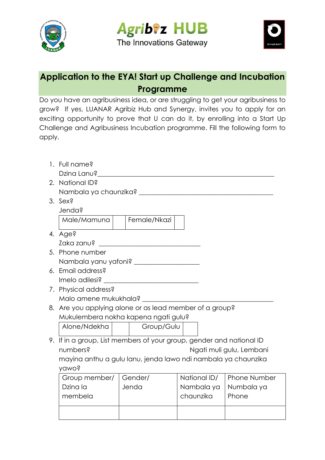

**Agrib®z HUB** The Innovations Gateway



## **Application to the EYA! Start up Challenge and Incubation Programme**

Do you have an agribusiness idea, or are struggling to get your agribusiness to grow? If yes, LUANAR Agribiz Hub and Synergy, invites you to apply for an exciting opportunity to prove that U can do it, by enrolling into a Start Up Challenge and Agribusiness Incubation programme. Fill the following form to apply.

|              | 1. Full name?                                                        |       |              |            |              |              |  |  |  |
|--------------|----------------------------------------------------------------------|-------|--------------|------------|--------------|--------------|--|--|--|
|              |                                                                      |       |              |            |              |              |  |  |  |
|              | 2. National ID?                                                      |       |              |            |              |              |  |  |  |
|              |                                                                      |       |              |            |              |              |  |  |  |
|              | 3. Sex?                                                              |       |              |            |              |              |  |  |  |
|              | Jenda?                                                               |       |              |            |              |              |  |  |  |
|              | Male/Mamuna                                                          |       | Female/Nkazi |            |              |              |  |  |  |
|              | 4. Age?                                                              |       |              |            |              |              |  |  |  |
|              |                                                                      |       |              |            |              |              |  |  |  |
|              | 5. Phone number                                                      |       |              |            |              |              |  |  |  |
|              |                                                                      |       |              |            |              |              |  |  |  |
|              | 6. Email address?                                                    |       |              |            |              |              |  |  |  |
|              |                                                                      |       |              |            |              |              |  |  |  |
|              | 7. Physical address?                                                 |       |              |            |              |              |  |  |  |
|              |                                                                      |       |              |            |              |              |  |  |  |
|              | 8. Are you applying alone or as lead member of a group?              |       |              |            |              |              |  |  |  |
|              | Mukulembera nokha kapena ngati gulu?                                 |       |              |            |              |              |  |  |  |
|              | Alone/Ndekha                                                         |       | Group/Gulu   |            |              |              |  |  |  |
|              | 9. If in a group, List members of your group, gender and national ID |       |              |            |              |              |  |  |  |
|              | numbers?<br>Ngati muli gulu, Lembani                                 |       |              |            |              |              |  |  |  |
|              | mayina anthu a gulu lanu, jenda lawo ndi nambala ya chaunzika        |       |              |            |              |              |  |  |  |
| <b>Namos</b> |                                                                      |       |              |            |              |              |  |  |  |
|              | Group member/                                                        |       | Gender/      |            | National ID/ | Phone Number |  |  |  |
|              | Dzina la                                                             | Jenda |              | Nambala ya |              | Numbala ya   |  |  |  |
|              | membela                                                              |       |              | chaunzika  |              | Phone        |  |  |  |
|              |                                                                      |       |              |            |              |              |  |  |  |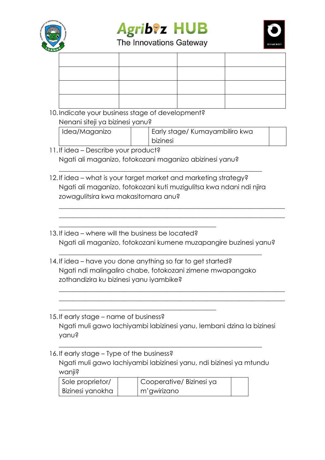





| ANAS                                    |                                                                       |  |             |                                |  |  |  |
|-----------------------------------------|-----------------------------------------------------------------------|--|-------------|--------------------------------|--|--|--|
|                                         |                                                                       |  |             |                                |  |  |  |
|                                         |                                                                       |  |             |                                |  |  |  |
|                                         |                                                                       |  |             |                                |  |  |  |
|                                         |                                                                       |  |             |                                |  |  |  |
|                                         |                                                                       |  |             |                                |  |  |  |
|                                         | 10. Indicate your business stage of development?                      |  |             |                                |  |  |  |
|                                         | Nenani siteji ya bizinesi yanu?                                       |  |             |                                |  |  |  |
|                                         | Idea/Maganizo                                                         |  | bizinesi    | Early stage/ Kumayambiliro kwa |  |  |  |
|                                         | 11. If idea – Describe your product?                                  |  |             |                                |  |  |  |
|                                         | Ngati ali maganizo, fotokozani maganizo abizinesi yanu?               |  |             |                                |  |  |  |
|                                         |                                                                       |  |             |                                |  |  |  |
|                                         | 12. If idea – what is your target market and marketing strategy?      |  |             |                                |  |  |  |
|                                         | Ngati ali maganizo, fotokozani kuti muzigulitsa kwa ndani ndi njira   |  |             |                                |  |  |  |
|                                         | zowagulitsira kwa makasitomara anu?                                   |  |             |                                |  |  |  |
|                                         |                                                                       |  |             |                                |  |  |  |
|                                         |                                                                       |  |             |                                |  |  |  |
|                                         | 13. If idea – where will the business be located?                     |  |             |                                |  |  |  |
|                                         | Ngati ali maganizo, fotokozani kumene muzapangire buzinesi yanu?      |  |             |                                |  |  |  |
|                                         | 14. If idea – have you done anything so far to get started?           |  |             |                                |  |  |  |
|                                         | Ngati ndi malingaliro chabe, fotokozani zimene mwapangako             |  |             |                                |  |  |  |
| zothandizira ku bizinesi yanu iyambike? |                                                                       |  |             |                                |  |  |  |
|                                         |                                                                       |  |             |                                |  |  |  |
|                                         |                                                                       |  |             |                                |  |  |  |
|                                         | 15. If early stage – name of business?                                |  |             |                                |  |  |  |
|                                         | Ngati muli gawo lachiyambi labizinesi yanu, lembani dzina la bizinesi |  |             |                                |  |  |  |
|                                         | yanu?                                                                 |  |             |                                |  |  |  |
|                                         |                                                                       |  |             |                                |  |  |  |
|                                         | 16. If early stage – Type of the business?                            |  |             |                                |  |  |  |
|                                         | Ngati muli gawo lachiyambi labizinesi yanu, ndi bizinesi ya mtundu    |  |             |                                |  |  |  |
|                                         | wanji?                                                                |  |             |                                |  |  |  |
|                                         | Sole proprietor/<br>Bizinesi yanokha                                  |  | m'gwirizano | Cooperative/Bizinesi ya        |  |  |  |
|                                         |                                                                       |  |             |                                |  |  |  |